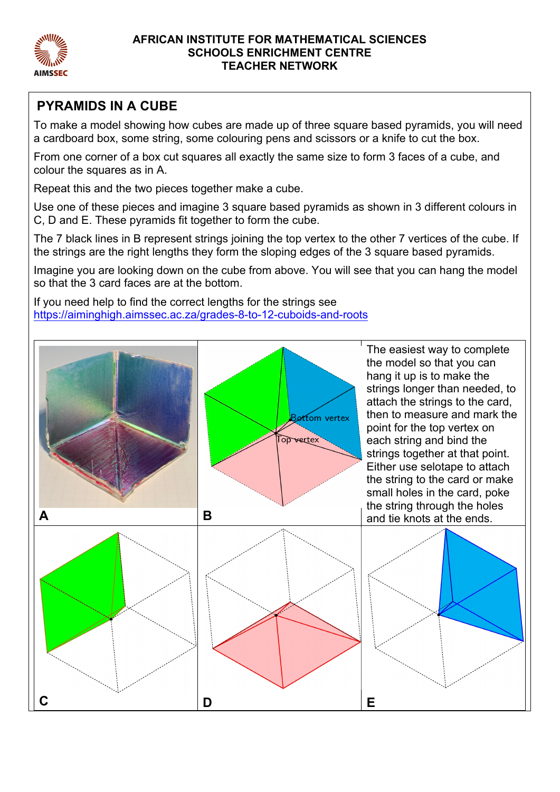

#### **AFRICAN INSTITUTE FOR MATHEMATICAL SCIENCES SCHOOLS ENRICHMENT CENTRE TEACHER NETWORK**

# **PYRAMIDS IN A CUBE**

To make a model showing how cubes are made up of three square based pyramids, you will need a cardboard box, some string, some colouring pens and scissors or a knife to cut the box.

From one corner of a box cut squares all exactly the same size to form 3 faces of a cube, and colour the squares as in A.

Repeat this and the two pieces together make a cube.

Use one of these pieces and imagine 3 square based pyramids as shown in 3 different colours in C, D and E. These pyramids fit together to form the cube.

The 7 black lines in B represent strings joining the top vertex to the other 7 vertices of the cube. If the strings are the right lengths they form the sloping edges of the 3 square based pyramids.

Imagine you are looking down on the cube from above. You will see that you can hang the model so that the 3 card faces are at the bottom.

If you need help to find the correct lengths for the strings see https://aiminghigh.aimssec.ac.za/grades-8-to-12-cuboids-and-roots

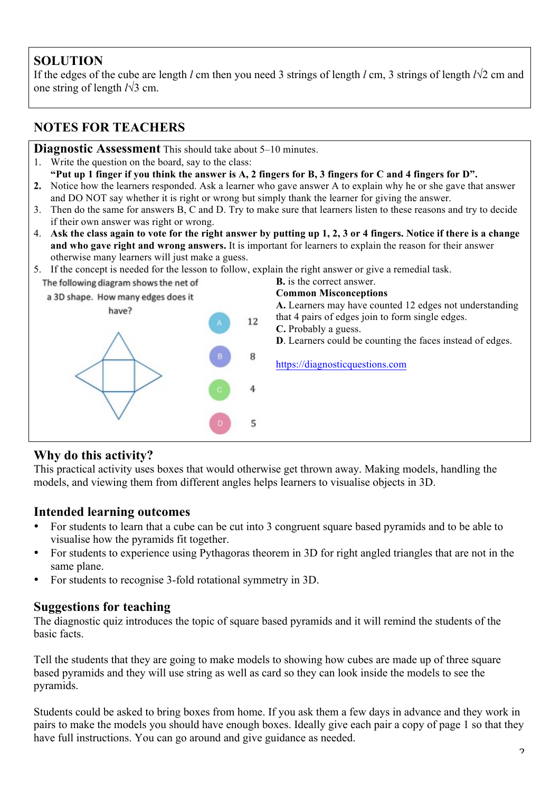# **SOLUTION**

If the edges of the cube are length *l* cm then you need 3 strings of length *l* cm, 3 strings of length *l*√2 cm and one string of length *l*√3 cm.

# **NOTES FOR TEACHERS**

**Diagnostic Assessment** This should take about 5–10 minutes.

- 1. Write the question on the board, say to the class: **"Put up 1 finger if you think the answer is A, 2 fingers for B, 3 fingers for C and 4 fingers for D".**
- **2.** Notice how the learners responded. Ask a learner who gave answer A to explain why he or she gave that answer and DO NOT say whether it is right or wrong but simply thank the learner for giving the answer.
- 3. Then do the same for answers B, C and D. Try to make sure that learners listen to these reasons and try to decide if their own answer was right or wrong.
- 4. **Ask the class again to vote for the right answer by putting up 1, 2, 3 or 4 fingers. Notice if there is a change and who gave right and wrong answers.** It is important for learners to explain the reason for their answer otherwise many learners will just make a guess.
- 5. If the concept is needed for the lesson to follow, explain the right answer or give a remedial task.

**B.** is the correct answer. The following diagram shows the net of **Common Misconceptions**  a 3D shape. How many edges does it **A.** Learners may have counted 12 edges not understanding have? that 4 pairs of edges join to form single edges. 12 **C.** Probably a guess. **D**. Learners could be counting the faces instead of edges. 8 https://diagnosticquestions.com  $\overline{4}$ 5

# **Why do this activity?**

This practical activity uses boxes that would otherwise get thrown away. Making models, handling the models, and viewing them from different angles helps learners to visualise objects in 3D.

# **Intended learning outcomes**

- For students to learn that a cube can be cut into 3 congruent square based pyramids and to be able to visualise how the pyramids fit together.
- For students to experience using Pythagoras theorem in 3D for right angled triangles that are not in the same plane.
- For students to recognise 3-fold rotational symmetry in 3D.

### **Suggestions for teaching**

The diagnostic quiz introduces the topic of square based pyramids and it will remind the students of the basic facts.

Tell the students that they are going to make models to showing how cubes are made up of three square based pyramids and they will use string as well as card so they can look inside the models to see the pyramids.

Students could be asked to bring boxes from home. If you ask them a few days in advance and they work in pairs to make the models you should have enough boxes. Ideally give each pair a copy of page 1 so that they have full instructions. You can go around and give guidance as needed.